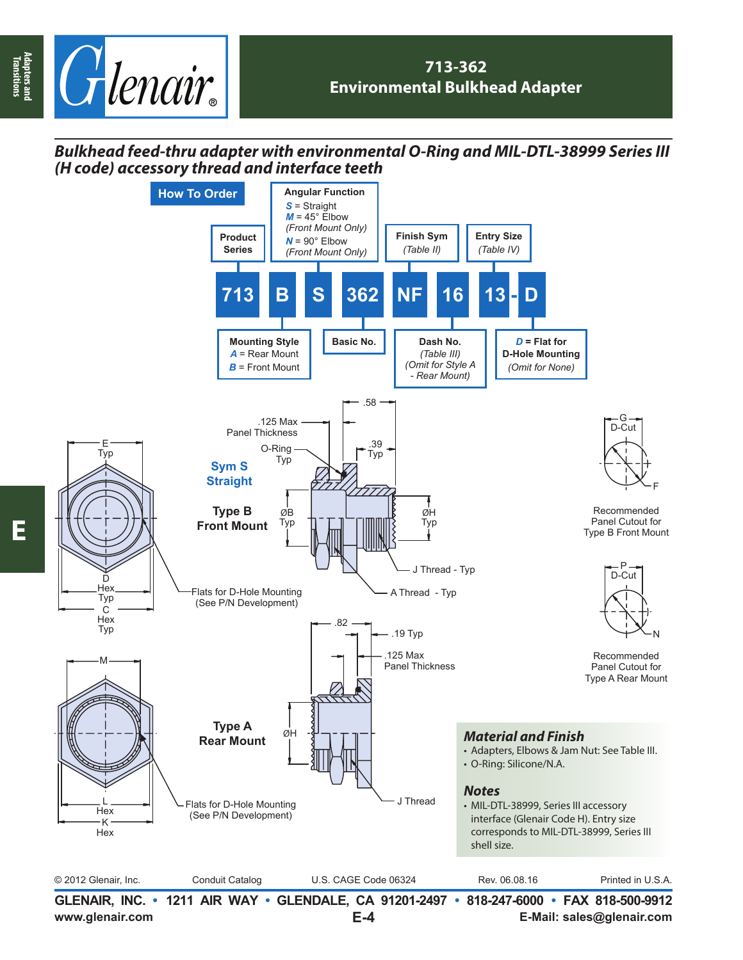

## *Bulkhead feed-thru adapter with environmental O-Ring and MIL-DTL-38999 Series III (H code) accessory thread and interface teeth*



**E**

**Adapters and Transitions**

Adapters and<br>Transitions

**E-4**

**www.glenair.com E-Mail: sales@glenair.com**